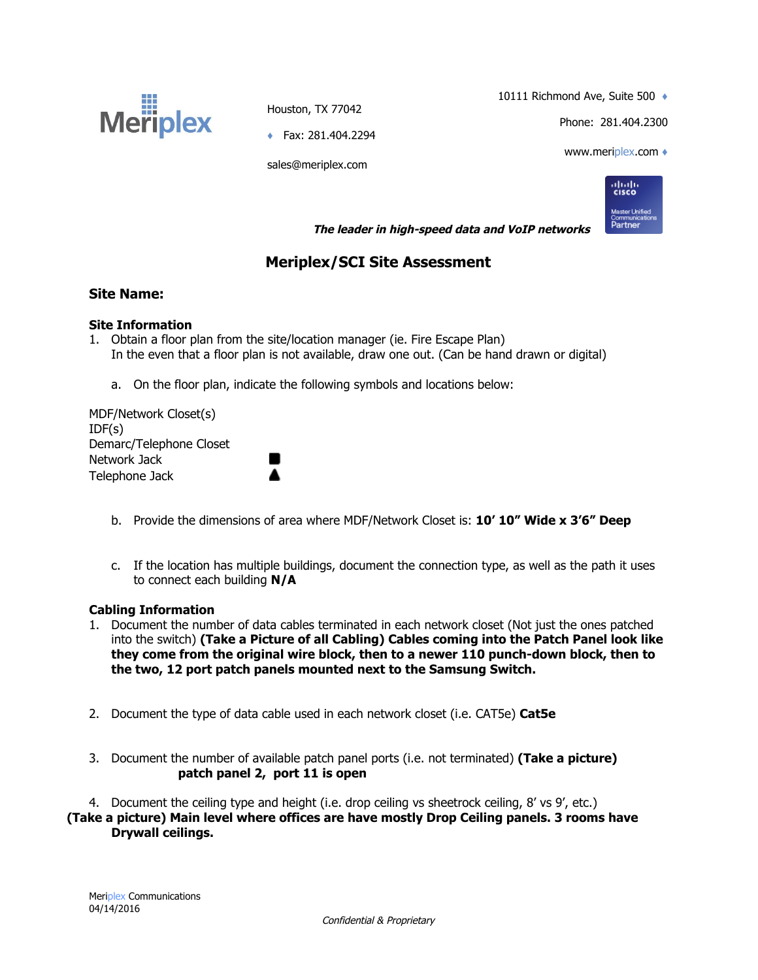

Houston, TX 77042

10111 Richmond Ave, Suite 500  $\leftrightarrow$ 

Phone: 281.404.2300

♦ Fax: 281.404.2294

sales@meriplex.com

www.meriplex.com ♦



 **The leader in high-speed data and VoIP networks** 

# **Meriplex/SCI Site Assessment**

## **Site Name:**

### **Site Information**

- 1. Obtain a floor plan from the site/location manager (ie. Fire Escape Plan) In the even that a floor plan is not available, draw one out. (Can be hand drawn or digital)
	- a. On the floor plan, indicate the following symbols and locations below:

œ

MDF/Network Closet(s) IDF(s) Demarc/Telephone Closet Network Jack Telephone Jack

- b. Provide the dimensions of area where MDF/Network Closet is: **10' 10" Wide x 3'6" Deep**
- c. If the location has multiple buildings, document the connection type, as well as the path it uses to connect each building **N/A**

### **Cabling Information**

- 1. Document the number of data cables terminated in each network closet (Not just the ones patched into the switch) **(Take a Picture of all Cabling) Cables coming into the Patch Panel look like they come from the original wire block, then to a newer 110 punch-down block, then to the two, 12 port patch panels mounted next to the Samsung Switch.**
- 2. Document the type of data cable used in each network closet (i.e. CAT5e) **Cat5e**
- 3. Document the number of available patch panel ports (i.e. not terminated) **(Take a picture) patch panel 2, port 11 is open**

4. Document the ceiling type and height (i.e. drop ceiling vs sheetrock ceiling, 8' vs 9', etc.) **(Take a picture) Main level where offices are have mostly Drop Ceiling panels. 3 rooms have Drywall ceilings.**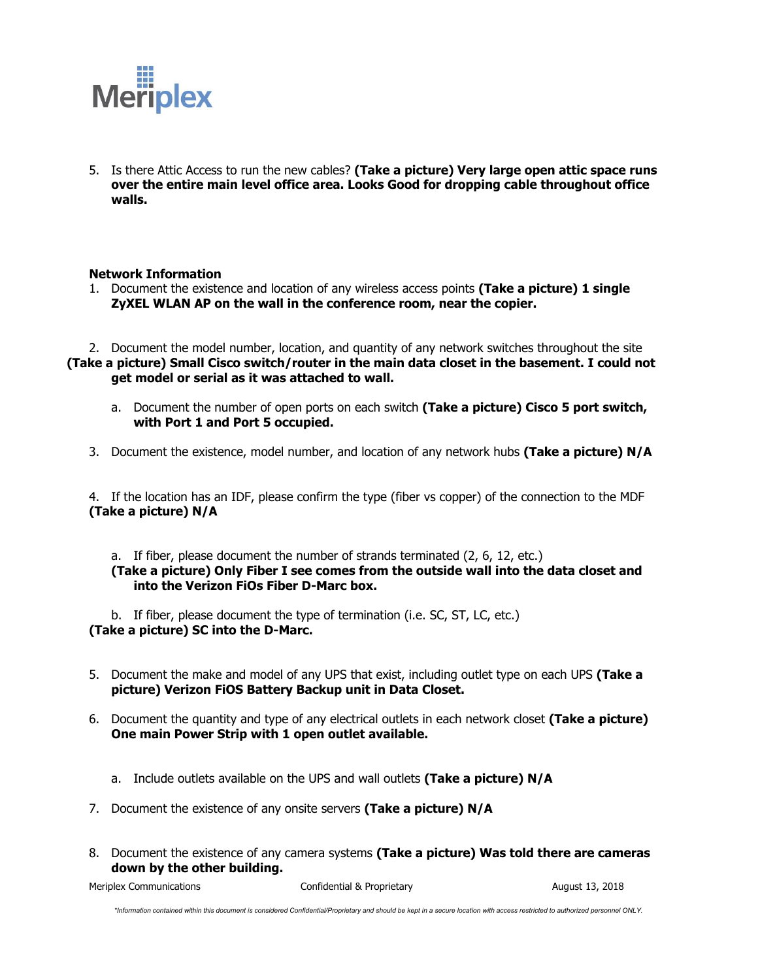

5. Is there Attic Access to run the new cables? **(Take a picture) Very large open attic space runs over the entire main level office area. Looks Good for dropping cable throughout office walls.**

#### **Network Information**

1. Document the existence and location of any wireless access points **(Take a picture) 1 single ZyXEL WLAN AP on the wall in the conference room, near the copier.**

2. Document the model number, location, and quantity of any network switches throughout the site **(Take a picture) Small Cisco switch/router in the main data closet in the basement. I could not get model or serial as it was attached to wall.**

- a. Document the number of open ports on each switch **(Take a picture) Cisco 5 port switch, with Port 1 and Port 5 occupied.**
- 3. Document the existence, model number, and location of any network hubs **(Take a picture) N/A**

4. If the location has an IDF, please confirm the type (fiber vs copper) of the connection to the MDF **(Take a picture) N/A**

a. If fiber, please document the number of strands terminated (2, 6, 12, etc.) **(Take a picture) Only Fiber I see comes from the outside wall into the data closet and into the Verizon FiOs Fiber D-Marc box.**

b. If fiber, please document the type of termination (i.e. SC, ST, LC, etc.) **(Take a picture) SC into the D-Marc.**

- 5. Document the make and model of any UPS that exist, including outlet type on each UPS **(Take a picture) Verizon FiOS Battery Backup unit in Data Closet.**
- 6. Document the quantity and type of any electrical outlets in each network closet **(Take a picture) One main Power Strip with 1 open outlet available.**
	- a. Include outlets available on the UPS and wall outlets **(Take a picture) N/A**
- 7. Document the existence of any onsite servers **(Take a picture) N/A**
- 8. Document the existence of any camera systems **(Take a picture) Was told there are cameras down by the other building.**

Meriplex Communications **Confidential & Proprietary August 13, 2018** August 13, 2018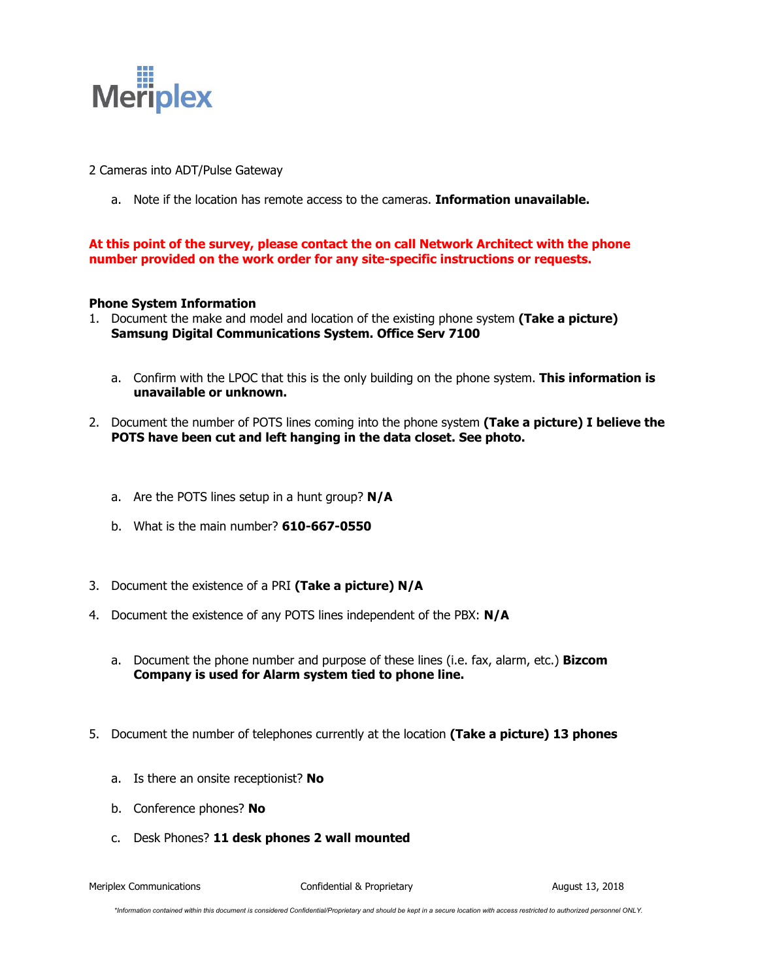

- 2 Cameras into ADT/Pulse Gateway
	- a. Note if the location has remote access to the cameras. **Information unavailable.**

**At this point of the survey, please contact the on call Network Architect with the phone number provided on the work order for any site-specific instructions or requests.**

#### **Phone System Information**

- 1. Document the make and model and location of the existing phone system **(Take a picture) Samsung Digital Communications System. Office Serv 7100**
	- a. Confirm with the LPOC that this is the only building on the phone system. **This information is unavailable or unknown.**
- 2. Document the number of POTS lines coming into the phone system **(Take a picture) I believe the POTS have been cut and left hanging in the data closet. See photo.**
	- a. Are the POTS lines setup in a hunt group? **N/A**
	- b. What is the main number? **610-667-0550**
- 3. Document the existence of a PRI **(Take a picture) N/A**
- 4. Document the existence of any POTS lines independent of the PBX: **N/A**
	- a. Document the phone number and purpose of these lines (i.e. fax, alarm, etc.) **Bizcom Company is used for Alarm system tied to phone line.**
- 5. Document the number of telephones currently at the location **(Take a picture) 13 phones**
	- a. Is there an onsite receptionist? **No**
	- b. Conference phones? **No**
	- c. Desk Phones? **11 desk phones 2 wall mounted**

Meriplex Communications **Confidential & Proprietary** August 13, 2018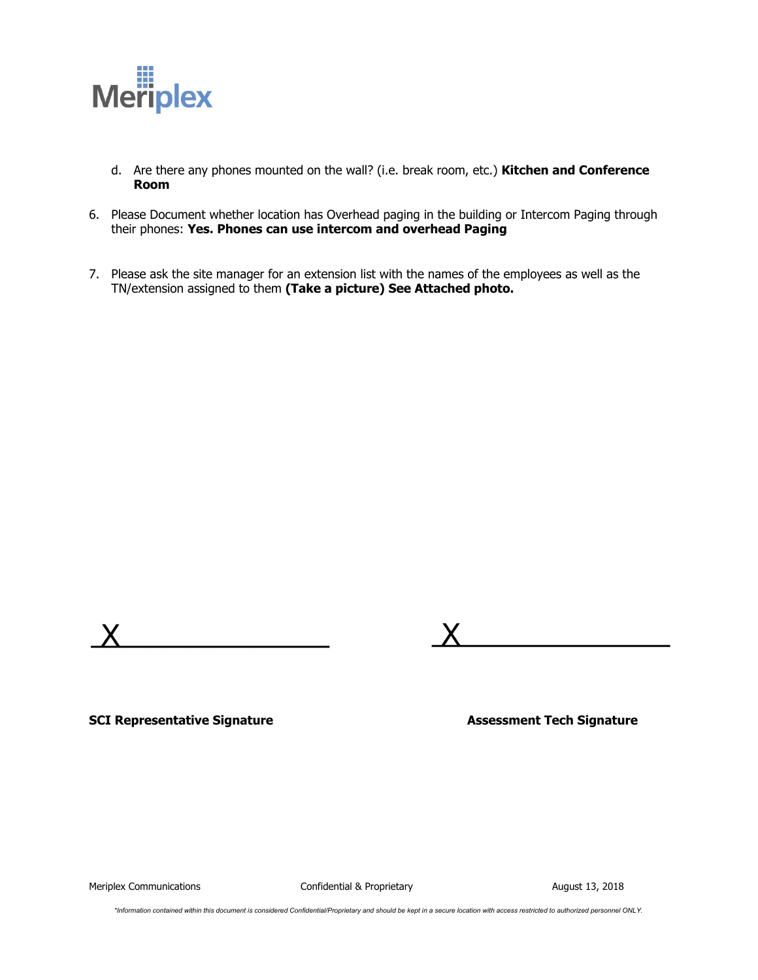

- d. Are there any phones mounted on the wall? (i.e. break room, etc.) **Kitchen and Conference Room**
- 6. Please Document whether location has Overhead paging in the building or Intercom Paging through their phones: **Yes. Phones can use intercom and overhead Paging**
- 7. Please ask the site manager for an extension list with the names of the employees as well as the TN/extension assigned to them **(Take a picture) See Attached photo.**





**SCI Representative Signature Assessment Tech Signature**

Meriplex Communications **Confidential & Proprietary August 13, 2018** August 13, 2018